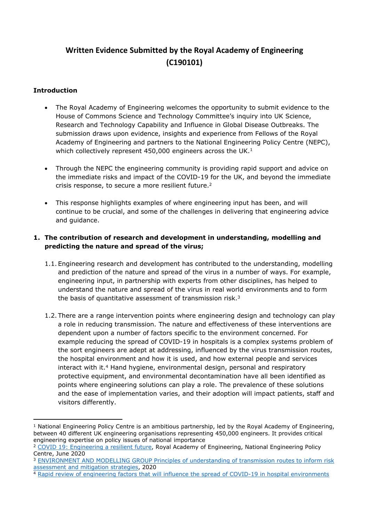# **Written Evidence Submitted by the Royal Academy of Engineering (C190101)**

#### **Introduction**

- The Royal Academy of Engineering welcomes the opportunity to submit evidence to the House of Commons Science and Technology Committee's inquiry into UK Science, Research and Technology Capability and Influence in Global Disease Outbreaks. The submission draws upon evidence, insights and experience from Fellows of the Royal Academy of Engineering and partners to the National Engineering Policy Centre (NEPC), which collectively represent 450,000 engineers across the UK.<sup>1</sup>
- Through the NEPC the engineering community is providing rapid support and advice on the immediate risks and impact of the COVID-19 for the UK, and beyond the immediate crisis response, to secure a more resilient future.<sup>2</sup>
- This response highlights examples of where engineering input has been, and will continue to be crucial, and some of the challenges in delivering that engineering advice and guidance.

## **1. The contribution of research and development in understanding, modelling and predicting the nature and spread of the virus;**

- 1.1. Engineering research and development has contributed to the understanding, modelling and prediction of the nature and spread of the virus in a number of ways. For example, engineering input, in partnership with experts from other disciplines, has helped to understand the nature and spread of the virus in real world environments and to form the basis of quantitative assessment of transmission risk.<sup>3</sup>
- 1.2. There are a range intervention points where engineering design and technology can play a role in reducing transmission. The nature and effectiveness of these interventions are dependent upon a number of factors specific to the environment concerned. For example reducing the spread of COVID-19 in hospitals is a complex systems problem of the sort engineers are adept at addressing, influenced by the virus transmission routes, the hospital environment and how it is used, and how external people and services interact with it.<sup>4</sup> Hand hygiene, environmental design, personal and respiratory protective equipment, and environmental decontamination have all been identified as points where engineering solutions can play a role. The prevalence of these solutions and the ease of implementation varies, and their adoption will impact patients, staff and visitors differently.

<sup>4</sup> [Rapid](https://www.raeng.org.uk/publications/briefings-statements-letters/engineering-factors-that-will-limit-covid) [review](https://www.raeng.org.uk/publications/briefings-statements-letters/engineering-factors-that-will-limit-covid) [of](https://www.raeng.org.uk/publications/briefings-statements-letters/engineering-factors-that-will-limit-covid) [engineering](https://www.raeng.org.uk/publications/briefings-statements-letters/engineering-factors-that-will-limit-covid) [factors](https://www.raeng.org.uk/publications/briefings-statements-letters/engineering-factors-that-will-limit-covid) [that](https://www.raeng.org.uk/publications/briefings-statements-letters/engineering-factors-that-will-limit-covid) [will](https://www.raeng.org.uk/publications/briefings-statements-letters/engineering-factors-that-will-limit-covid) [influence](https://www.raeng.org.uk/publications/briefings-statements-letters/engineering-factors-that-will-limit-covid) [the](https://www.raeng.org.uk/publications/briefings-statements-letters/engineering-factors-that-will-limit-covid) [spread](https://www.raeng.org.uk/publications/briefings-statements-letters/engineering-factors-that-will-limit-covid) [of](https://www.raeng.org.uk/publications/briefings-statements-letters/engineering-factors-that-will-limit-covid) [COVID-19](https://www.raeng.org.uk/publications/briefings-statements-letters/engineering-factors-that-will-limit-covid) [in](https://www.raeng.org.uk/publications/briefings-statements-letters/engineering-factors-that-will-limit-covid) [hospital](https://www.raeng.org.uk/publications/briefings-statements-letters/engineering-factors-that-will-limit-covid) [environments](https://www.raeng.org.uk/publications/briefings-statements-letters/engineering-factors-that-will-limit-covid)

 $1$  National Engineering Policy Centre is an ambitious partnership, led by the Royal Academy of Engineering, between 40 different UK engineering organisations representing 450,000 engineers. It provides critical engineering expertise on policy issues of national importance

<sup>2</sup> [COVID](https://www.raeng.org.uk/publications/reports/covid-19-engineering-a-resilient-future) [19:](https://www.raeng.org.uk/publications/reports/covid-19-engineering-a-resilient-future) [Engineering](https://www.raeng.org.uk/publications/reports/covid-19-engineering-a-resilient-future) [a](https://www.raeng.org.uk/publications/reports/covid-19-engineering-a-resilient-future) [resilient](https://www.raeng.org.uk/publications/reports/covid-19-engineering-a-resilient-future) [future,](https://www.raeng.org.uk/publications/reports/covid-19-engineering-a-resilient-future) Royal Academy of Engineering, National Engineering Policy Centre, June 2020

<sup>&</sup>lt;sup>3</sup> [ENVIRONMENT](https://assets.publishing.service.gov.uk/government/uploads/system/uploads/attachment_data/file/887618/EMG_Environmental_transmission-_02052020__1_.pdf) [AND](https://assets.publishing.service.gov.uk/government/uploads/system/uploads/attachment_data/file/887618/EMG_Environmental_transmission-_02052020__1_.pdf) [MODELLING](https://assets.publishing.service.gov.uk/government/uploads/system/uploads/attachment_data/file/887618/EMG_Environmental_transmission-_02052020__1_.pdf) [GROUP](https://assets.publishing.service.gov.uk/government/uploads/system/uploads/attachment_data/file/887618/EMG_Environmental_transmission-_02052020__1_.pdf) [Principles](https://assets.publishing.service.gov.uk/government/uploads/system/uploads/attachment_data/file/887618/EMG_Environmental_transmission-_02052020__1_.pdf) [of](https://assets.publishing.service.gov.uk/government/uploads/system/uploads/attachment_data/file/887618/EMG_Environmental_transmission-_02052020__1_.pdf) [understanding](https://assets.publishing.service.gov.uk/government/uploads/system/uploads/attachment_data/file/887618/EMG_Environmental_transmission-_02052020__1_.pdf) of [transmission](https://assets.publishing.service.gov.uk/government/uploads/system/uploads/attachment_data/file/887618/EMG_Environmental_transmission-_02052020__1_.pdf) [routes](https://assets.publishing.service.gov.uk/government/uploads/system/uploads/attachment_data/file/887618/EMG_Environmental_transmission-_02052020__1_.pdf) [to](https://assets.publishing.service.gov.uk/government/uploads/system/uploads/attachment_data/file/887618/EMG_Environmental_transmission-_02052020__1_.pdf) [inform](https://assets.publishing.service.gov.uk/government/uploads/system/uploads/attachment_data/file/887618/EMG_Environmental_transmission-_02052020__1_.pdf) [risk](https://assets.publishing.service.gov.uk/government/uploads/system/uploads/attachment_data/file/887618/EMG_Environmental_transmission-_02052020__1_.pdf) [assessment](https://assets.publishing.service.gov.uk/government/uploads/system/uploads/attachment_data/file/887618/EMG_Environmental_transmission-_02052020__1_.pdf) [and](https://assets.publishing.service.gov.uk/government/uploads/system/uploads/attachment_data/file/887618/EMG_Environmental_transmission-_02052020__1_.pdf) [mitigation](https://assets.publishing.service.gov.uk/government/uploads/system/uploads/attachment_data/file/887618/EMG_Environmental_transmission-_02052020__1_.pdf) [strategies,](https://assets.publishing.service.gov.uk/government/uploads/system/uploads/attachment_data/file/887618/EMG_Environmental_transmission-_02052020__1_.pdf) 2020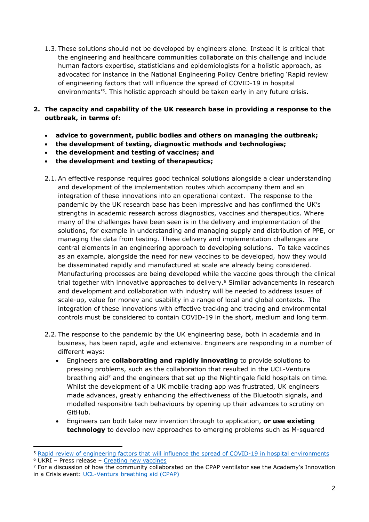- 1.3. These solutions should not be developed by engineers alone. Instead it is critical that the engineering and healthcare communities collaborate on this challenge and include human factors expertise, statisticians and epidemiologists for a holistic approach, as advocated for instance in the National Engineering Policy Centre briefing 'Rapid review of engineering factors that will influence the spread of COVID-19 in hospital environments'<sup>5</sup>. This holistic approach should be taken early in any future crisis.
- **2. The capacity and capability of the UK research base in providing a response to the outbreak, in terms of:**
	- **advice to government, public bodies and others on managing the outbreak;**
	- **the development of testing, diagnostic methods and technologies;**
	- **the development and testing of vaccines; and**
	- **the development and testing of therapeutics;**
	- 2.1.An effective response requires good technical solutions alongside a clear understanding and development of the implementation routes which accompany them and an integration of these innovations into an operational context. The response to the pandemic by the UK research base has been impressive and has confirmed the UK's strengths in academic research across diagnostics, vaccines and therapeutics. Where many of the challenges have been seen is in the delivery and implementation of the solutions, for example in understanding and managing supply and distribution of PPE, or managing the data from testing. These delivery and implementation challenges are central elements in an engineering approach to developing solutions. To take vaccines as an example, alongside the need for new vaccines to be developed, how they would be disseminated rapidly and manufactured at scale are already being considered. Manufacturing processes are being developed while the vaccine goes through the clinical trial together with innovative approaches to delivery.<sup>6</sup> Similar advancements in research and development and collaboration with industry will be needed to address issues of scale-up, value for money and usability in a range of local and global contexts. The integration of these innovations with effective tracking and tracing and environmental controls must be considered to contain COVID-19 in the short, medium and long term.
	- 2.2. The response to the pandemic by the UK engineering base, both in academia and in business, has been rapid, agile and extensive. Engineers are responding in a number of different ways:
		- Engineers are **collaborating and rapidly innovating** to provide solutions to pressing problems, such as the collaboration that resulted in the UCL-Ventura breathing aid<sup>7</sup> and the engineers that set up the Nightingale field hospitals on time. Whilst the development of a UK mobile tracing app was frustrated, UK engineers made advances, greatly enhancing the effectiveness of the Bluetooth signals, and modelled responsible tech behaviours by opening up their advances to scrutiny on GitHub.
		- Engineers can both take new invention through to application, **or use existing technology** to develop new approaches to emerging problems such as M-squared

<sup>5</sup> [Rapid](https://www.raeng.org.uk/publications/briefings-statements-letters/engineering-factors-that-will-limit-covid) [review](https://www.raeng.org.uk/publications/briefings-statements-letters/engineering-factors-that-will-limit-covid) [of](https://www.raeng.org.uk/publications/briefings-statements-letters/engineering-factors-that-will-limit-covid) [engineering](https://www.raeng.org.uk/publications/briefings-statements-letters/engineering-factors-that-will-limit-covid) [factors](https://www.raeng.org.uk/publications/briefings-statements-letters/engineering-factors-that-will-limit-covid) [that](https://www.raeng.org.uk/publications/briefings-statements-letters/engineering-factors-that-will-limit-covid) [will](https://www.raeng.org.uk/publications/briefings-statements-letters/engineering-factors-that-will-limit-covid) [influence](https://www.raeng.org.uk/publications/briefings-statements-letters/engineering-factors-that-will-limit-covid) [the](https://www.raeng.org.uk/publications/briefings-statements-letters/engineering-factors-that-will-limit-covid) [spread](https://www.raeng.org.uk/publications/briefings-statements-letters/engineering-factors-that-will-limit-covid) [of](https://www.raeng.org.uk/publications/briefings-statements-letters/engineering-factors-that-will-limit-covid) [COVID-19](https://www.raeng.org.uk/publications/briefings-statements-letters/engineering-factors-that-will-limit-covid) [in](https://www.raeng.org.uk/publications/briefings-statements-letters/engineering-factors-that-will-limit-covid) [hospital](https://www.raeng.org.uk/publications/briefings-statements-letters/engineering-factors-that-will-limit-covid) [environments](https://www.raeng.org.uk/publications/briefings-statements-letters/engineering-factors-that-will-limit-covid)

<sup>6</sup> UKRI – Press release – [Creating](https://www.ukri.org/research/coronavirus/test-treatments-and-vaccines/creating-new-vaccines/) [new](https://www.ukri.org/research/coronavirus/test-treatments-and-vaccines/creating-new-vaccines/) [vaccines](https://www.ukri.org/research/coronavirus/test-treatments-and-vaccines/creating-new-vaccines/)

 $<sup>7</sup>$  For a discussion of how the community collaborated on the CPAP ventilator see the Academy's Innovation</sup> in a Crisis event: [UCL-Ventura](https://www.raeng.org.uk/events/events-programme/2020/may/innovation-in-a-crisis-ucl-ventura) [breathing](https://www.raeng.org.uk/events/events-programme/2020/may/innovation-in-a-crisis-ucl-ventura) [aid](https://www.raeng.org.uk/events/events-programme/2020/may/innovation-in-a-crisis-ucl-ventura) [\(CPAP\)](https://www.raeng.org.uk/events/events-programme/2020/may/innovation-in-a-crisis-ucl-ventura)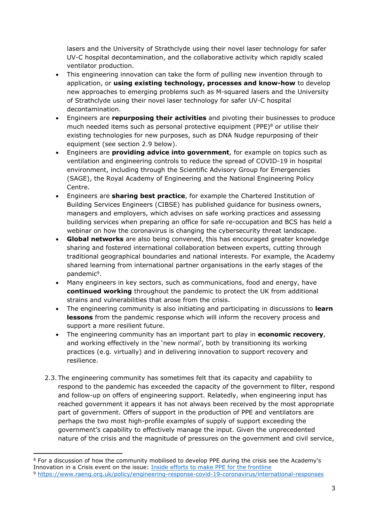lasers and the University of Strathclyde using their novel laser technology for safer UV-C hospital decontamination, and the collaborative activity which rapidly scaled ventilator production.

- This engineering innovation can take the form of pulling new invention through to application, or **using existing technology, processes and know-how** to develop new approaches to emerging problems such as M-squared lasers and the University of Strathclyde using their novel laser technology for safer UV-C hospital decontamination.
- Engineers are **repurposing their activities** and pivoting their businesses to produce much needed items such as personal protective equipment (PPE) $8$  or utilise their existing technologies for new purposes, such as DNA Nudge repurposing of their equipment (see section 2.9 below).
- Engineers are **providing advice into government**, for example on topics such as ventilation and engineering controls to reduce the spread of COVID-19 in hospital environment, including through the Scientific Advisory Group for Emergencies (SAGE), the Royal Academy of Engineering and the National Engineering Policy Centre.
- Engineers are **sharing best practice**, for example the Chartered Institution of Building Services Engineers (CIBSE) has published guidance for business owners, managers and employers, which advises on safe working practices and assessing building services when preparing an office for safe re-occupation and BCS has held a webinar on how the coronavirus is changing the cybersecurity threat landscape.
- **Global networks** are also being convened, this has encouraged greater knowledge sharing and fostered international collaboration between experts, cutting through traditional geographical boundaries and national interests. For example, the Academy shared learning from international partner organisations in the early stages of the pandemic<sup>9</sup>.
- Many engineers in key sectors, such as communications, food and energy, have **continued working** throughout the pandemic to protect the UK from additional strains and vulnerabilities that arose from the crisis.
- The engineering community is also initiating and participating in discussions to **learn lessons** from the pandemic response which will inform the recovery process and support a more resilient future.
- The engineering community has an important part to play in **economic recovery**, and working effectively in the 'new normal', both by transitioning its working practices (e.g. virtually) and in delivering innovation to support recovery and resilience.
- 2.3. The engineering community has sometimes felt that its capacity and capability to respond to the pandemic has exceeded the capacity of the government to filter, respond and follow-up on offers of engineering support. Relatedly, when engineering input has reached government it appears it has not always been received by the most appropriate part of government. Offers of support in the production of PPE and ventilators are perhaps the two most high-profile examples of supply of support exceeding the government's capability to effectively manage the input. Given the unprecedented nature of the crisis and the magnitude of pressures on the government and civil service,

<sup>8</sup> For a discussion of how the community mobilised to develop PPE during the crisis see the Academy's Innovation in a Crisis event on the issue: [Inside](https://www.raeng.org.uk/events/events-programme/2020/july/innovation-in-a-crisis-q-a-series-xxxx) [efforts](https://www.raeng.org.uk/events/events-programme/2020/july/innovation-in-a-crisis-q-a-series-xxxx) [to](https://www.raeng.org.uk/events/events-programme/2020/july/innovation-in-a-crisis-q-a-series-xxxx) [make](https://www.raeng.org.uk/events/events-programme/2020/july/innovation-in-a-crisis-q-a-series-xxxx) [PPE](https://www.raeng.org.uk/events/events-programme/2020/july/innovation-in-a-crisis-q-a-series-xxxx) [for](https://www.raeng.org.uk/events/events-programme/2020/july/innovation-in-a-crisis-q-a-series-xxxx) [the](https://www.raeng.org.uk/events/events-programme/2020/july/innovation-in-a-crisis-q-a-series-xxxx) [frontline](https://www.raeng.org.uk/events/events-programme/2020/july/innovation-in-a-crisis-q-a-series-xxxx)

<sup>9</sup> <https://www.raeng.org.uk/policy/engineering-response-covid-19-coronavirus/international-responses>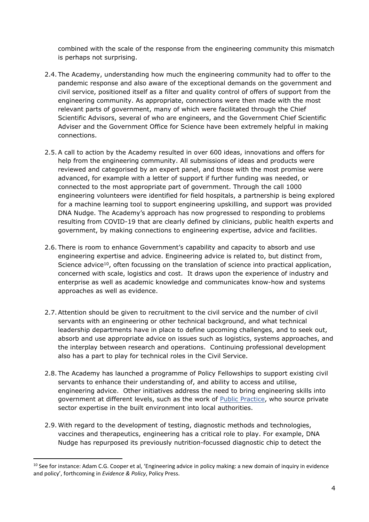combined with the scale of the response from the engineering community this mismatch is perhaps not surprising.

- 2.4. The Academy, understanding how much the engineering community had to offer to the pandemic response and also aware of the exceptional demands on the government and civil service, positioned itself as a filter and quality control of offers of support from the engineering community. As appropriate, connections were then made with the most relevant parts of government, many of which were facilitated through the Chief Scientific Advisors, several of who are engineers, and the Government Chief Scientific Adviser and the Government Office for Science have been extremely helpful in making connections.
- 2.5.A call to action by the Academy resulted in over 600 ideas, innovations and offers for help from the engineering community. All submissions of ideas and products were reviewed and categorised by an expert panel, and those with the most promise were advanced, for example with a letter of support if further funding was needed, or connected to the most appropriate part of government. Through the call 1000 engineering volunteers were identified for field hospitals, a partnership is being explored for a machine learning tool to support engineering upskilling, and support was provided DNA Nudge. The Academy's approach has now progressed to responding to problems resulting from COVID-19 that are clearly defined by clinicians, public health experts and government, by making connections to engineering expertise, advice and facilities.
- 2.6. There is room to enhance Government's capability and capacity to absorb and use engineering expertise and advice. Engineering advice is related to, but distinct from, Science advice<sup>10</sup>, often focussing on the translation of science into practical application, concerned with scale, logistics and cost. It draws upon the experience of industry and enterprise as well as academic knowledge and communicates know-how and systems approaches as well as evidence.
- 2.7.Attention should be given to recruitment to the civil service and the number of civil servants with an engineering or other technical background, and what technical leadership departments have in place to define upcoming challenges, and to seek out, absorb and use appropriate advice on issues such as logistics, systems approaches, and the interplay between research and operations. Continuing professional development also has a part to play for technical roles in the Civil Service.
- 2.8. The Academy has launched a programme of Policy Fellowships to support existing civil servants to enhance their understanding of, and ability to access and utilise, engineering advice. Other initiatives address the need to bring engineering skills into government at different levels, such as the work of [Public](https://www.publicpractice.org.uk/) [Practice](https://www.publicpractice.org.uk/), who source private sector expertise in the built environment into local authorities.
- 2.9.With regard to the development of testing, diagnostic methods and technologies, vaccines and therapeutics, engineering has a critical role to play. For example, DNA Nudge has repurposed its previously nutrition-focussed diagnostic chip to detect the

<sup>&</sup>lt;sup>10</sup> See for instance: Adam C.G. Cooper et al, 'Engineering advice in policy making: a new domain of inquiry in evidence and policy', forthcoming in *Evidence & Policy*, Policy Press.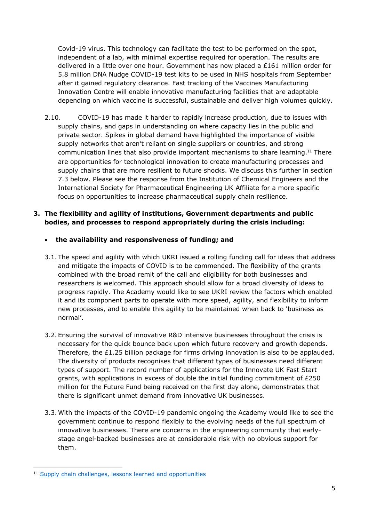Covid-19 virus. This technology can facilitate the test to be performed on the spot, independent of a lab, with minimal expertise required for operation. The results are delivered in a little over one hour. Government has now placed a £161 million order for 5.8 million DNA Nudge COVID-19 test kits to be used in NHS hospitals from September after it gained regulatory clearance. Fast tracking of the Vaccines Manufacturing Innovation Centre will enable innovative manufacturing facilities that are adaptable depending on which vaccine is successful, sustainable and deliver high volumes quickly.

2.10. COVID-19 has made it harder to rapidly increase production, due to issues with supply chains, and gaps in understanding on where capacity lies in the public and private sector. Spikes in global demand have highlighted the importance of visible supply networks that aren't reliant on single suppliers or countries, and strong communication lines that also provide important mechanisms to share learning.<sup>11</sup> There are opportunities for technological innovation to create manufacturing processes and supply chains that are more resilient to future shocks. We discuss this further in section 7.3 below. Please see the response from the Institution of Chemical Engineers and the International Society for Pharmaceutical Engineering UK Affiliate for a more specific focus on opportunities to increase pharmaceutical supply chain resilience.

## **3. The flexibility and agility of institutions, Government departments and public bodies, and processes to respond appropriately during the crisis including:**

## **the availability and responsiveness of funding; and**

- 3.1. The speed and agility with which UKRI issued a rolling funding call for ideas that address and mitigate the impacts of COVID is to be commended. The flexibility of the grants combined with the broad remit of the call and eligibility for both businesses and researchers is welcomed. This approach should allow for a broad diversity of ideas to progress rapidly. The Academy would like to see UKRI review the factors which enabled it and its component parts to operate with more speed, agility, and flexibility to inform new processes, and to enable this agility to be maintained when back to 'business as normal'.
- 3.2. Ensuring the survival of innovative R&D intensive businesses throughout the crisis is necessary for the quick bounce back upon which future recovery and growth depends. Therefore, the £1.25 billion package for firms driving innovation is also to be applauded. The diversity of products recognises that different types of businesses need different types of support. The record number of applications for the Innovate UK Fast Start grants, with applications in excess of double the initial funding commitment of £250 million for the Future Fund being received on the first day alone, demonstrates that there is significant unmet demand from innovative UK businesses.
- 3.3.With the impacts of the COVID-19 pandemic ongoing the Academy would like to see the government continue to respond flexibly to the evolving needs of the full spectrum of innovative businesses. There are concerns in the engineering community that earlystage angel-backed businesses are at considerable risk with no obvious support for them.

<sup>11</sup> [Supply](https://www.raeng.org.uk/Publications/Reports/Supply-chain-challenges,-lessons-learned-and-oppor) [chain](https://www.raeng.org.uk/Publications/Reports/Supply-chain-challenges,-lessons-learned-and-oppor) [challenges,](https://www.raeng.org.uk/Publications/Reports/Supply-chain-challenges,-lessons-learned-and-oppor) [lessons](https://www.raeng.org.uk/Publications/Reports/Supply-chain-challenges,-lessons-learned-and-oppor) [learned](https://www.raeng.org.uk/Publications/Reports/Supply-chain-challenges,-lessons-learned-and-oppor) [and](https://www.raeng.org.uk/Publications/Reports/Supply-chain-challenges,-lessons-learned-and-oppor) [opportunities](https://www.raeng.org.uk/Publications/Reports/Supply-chain-challenges,-lessons-learned-and-oppor)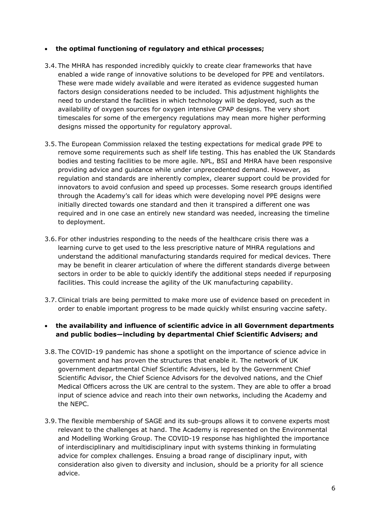#### **the optimal functioning of regulatory and ethical processes;**

- 3.4. The MHRA has responded incredibly quickly to create clear frameworks that have enabled a wide range of innovative solutions to be developed for PPE and ventilators. These were made widely available and were iterated as evidence suggested human factors design considerations needed to be included. This adjustment highlights the need to understand the facilities in which technology will be deployed, such as the availability of oxygen sources for oxygen intensive CPAP designs. The very short timescales for some of the emergency regulations may mean more higher performing designs missed the opportunity for regulatory approval.
- 3.5. The European Commission relaxed the testing expectations for medical grade PPE to remove some requirements such as shelf life testing. This has enabled the UK Standards bodies and testing facilities to be more agile. NPL, BSI and MHRA have been responsive providing advice and guidance while under unprecedented demand. However, as regulation and standards are inherently complex, clearer support could be provided for innovators to avoid confusion and speed up processes. Some research groups identified through the Academy's call for ideas which were developing novel PPE designs were initially directed towards one standard and then it transpired a different one was required and in one case an entirely new standard was needed, increasing the timeline to deployment.
- 3.6. For other industries responding to the needs of the healthcare crisis there was a learning curve to get used to the less prescriptive nature of MHRA regulations and understand the additional manufacturing standards required for medical devices. There may be benefit in clearer articulation of where the different standards diverge between sectors in order to be able to quickly identify the additional steps needed if repurposing facilities. This could increase the agility of the UK manufacturing capability.
- 3.7.Clinical trials are being permitted to make more use of evidence based on precedent in order to enable important progress to be made quickly whilst ensuring vaccine safety.

## **the availability and influence of scientific advice in all Government departments and public bodies—including by departmental Chief Scientific Advisers; and**

- 3.8. The COVID-19 pandemic has shone a spotlight on the importance of science advice in government and has proven the structures that enable it. The network of UK government departmental Chief Scientific Advisers, led by the Government Chief Scientific Advisor, the Chief Science Advisors for the devolved nations, and the Chief Medical Officers across the UK are central to the system. They are able to offer a broad input of science advice and reach into their own networks, including the Academy and the NEPC.
- 3.9. The flexible membership of SAGE and its sub-groups allows it to convene experts most relevant to the challenges at hand. The Academy is represented on the Environmental and Modelling Working Group. The COVID-19 response has highlighted the importance of interdisciplinary and multidisciplinary input with systems thinking in formulating advice for complex challenges. Ensuing a broad range of disciplinary input, with consideration also given to diversity and inclusion, should be a priority for all science advice.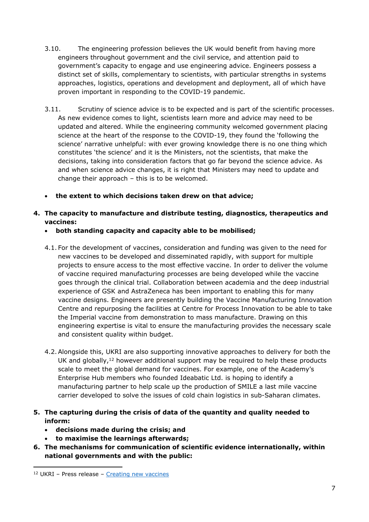- 3.10. The engineering profession believes the UK would benefit from having more engineers throughout government and the civil service, and attention paid to government's capacity to engage and use engineering advice. Engineers possess a distinct set of skills, complementary to scientists, with particular strengths in systems approaches, logistics, operations and development and deployment, all of which have proven important in responding to the COVID-19 pandemic.
- 3.11. Scrutiny of science advice is to be expected and is part of the scientific processes. As new evidence comes to light, scientists learn more and advice may need to be updated and altered. While the engineering community welcomed government placing science at the heart of the response to the COVID-19, they found the 'following the science' narrative unhelpful: with ever growing knowledge there is no one thing which constitutes 'the science' and it is the Ministers, not the scientists, that make the decisions, taking into consideration factors that go far beyond the science advice. As and when science advice changes, it is right that Ministers may need to update and change their approach – this is to be welcomed.
- **the extent to which decisions taken drew on that advice;**
- **4. The capacity to manufacture and distribute testing, diagnostics, therapeutics and vaccines:**
	- **both standing capacity and capacity able to be mobilised;**
	- 4.1. For the development of vaccines, consideration and funding was given to the need for new vaccines to be developed and disseminated rapidly, with support for multiple projects to ensure access to the most effective vaccine. In order to deliver the volume of vaccine required manufacturing processes are being developed while the vaccine goes through the clinical trial. Collaboration between academia and the deep industrial experience of GSK and AstraZeneca has been important to enabling this for many vaccine designs. Engineers are presently building the Vaccine Manufacturing Innovation Centre and repurposing the facilities at Centre for Process Innovation to be able to take the Imperial vaccine from demonstration to mass manufacture. Drawing on this engineering expertise is vital to ensure the manufacturing provides the necessary scale and consistent quality within budget.
	- 4.2.Alongside this, UKRI are also supporting innovative approaches to delivery for both the UK and globally, $12$  however additional support may be required to help these products scale to meet the global demand for vaccines. For example, one of the Academy's Enterprise Hub members who founded Ideabatic Ltd. is hoping to identify a manufacturing partner to help scale up the production of SMILE a last mile vaccine carrier developed to solve the issues of cold chain logistics in sub-Saharan climates.
- **5. The capturing during the crisis of data of the quantity and quality needed to inform:**
	- **decisions made during the crisis; and**
	- **to maximise the learnings afterwards;**
- **6. The mechanisms for communication of scientific evidence internationally, within national governments and with the public:**

<sup>12</sup> UKRI – Press release – [Creating](https://www.ukri.org/research/coronavirus/test-treatments-and-vaccines/creating-new-vaccines/) [new](https://www.ukri.org/research/coronavirus/test-treatments-and-vaccines/creating-new-vaccines/) [vaccines](https://www.ukri.org/research/coronavirus/test-treatments-and-vaccines/creating-new-vaccines/)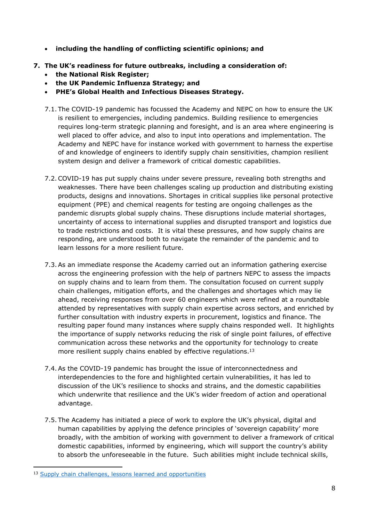- **including the handling of conflicting scientific opinions; and**
- **7. The UK's readiness for future outbreaks, including a consideration of:**
	- **the National Risk Register;**
	- **the UK Pandemic Influenza Strategy; and**
	- **PHE's Global Health and Infectious Diseases Strategy.**
	- 7.1. The COVID-19 pandemic has focussed the Academy and NEPC on how to ensure the UK is resilient to emergencies, including pandemics. Building resilience to emergencies requires long-term strategic planning and foresight, and is an area where engineering is well placed to offer advice, and also to input into operations and implementation. The Academy and NEPC have for instance worked with government to harness the expertise of and knowledge of engineers to identify supply chain sensitivities, champion resilient system design and deliver a framework of critical domestic capabilities.
	- 7.2.COVID-19 has put supply chains under severe pressure, revealing both strengths and weaknesses. There have been challenges scaling up production and distributing existing products, designs and innovations. Shortages in critical supplies like personal protective equipment (PPE) and chemical reagents for testing are ongoing challenges as the pandemic disrupts global supply chains. These disruptions include material shortages, uncertainty of access to international supplies and disrupted transport and logistics due to trade restrictions and costs. It is vital these pressures, and how supply chains are responding, are understood both to navigate the remainder of the pandemic and to learn lessons for a more resilient future.
	- 7.3.As an immediate response the Academy carried out an information gathering exercise across the engineering profession with the help of partners NEPC to assess the impacts on supply chains and to learn from them. The consultation focused on current supply chain challenges, mitigation efforts, and the challenges and shortages which may lie ahead, receiving responses from over 60 engineers which were refined at a roundtable attended by representatives with supply chain expertise across sectors, and enriched by further consultation with industry experts in procurement, logistics and finance. The resulting paper found many instances where supply chains responded well. It highlights the importance of supply networks reducing the risk of single point failures, of effective communication across these networks and the opportunity for technology to create more resilient supply chains enabled by effective regulations.<sup>13</sup>
	- 7.4.As the COVID-19 pandemic has brought the issue of interconnectedness and interdependencies to the fore and highlighted certain vulnerabilities, it has led to discussion of the UK's resilience to shocks and strains, and the domestic capabilities which underwrite that resilience and the UK's wider freedom of action and operational advantage.
	- 7.5. The Academy has initiated a piece of work to explore the UK's physical, digital and human capabilities by applying the defence principles of 'sovereign capability' more broadly, with the ambition of working with government to deliver a framework of critical domestic capabilities, informed by engineering, which will support the country's ability to absorb the unforeseeable in the future. Such abilities might include technical skills,

<sup>&</sup>lt;sup>13</sup> [Supply](https://www.raeng.org.uk/Publications/Reports/Supply-chain-challenges,-lessons-learned-and-oppor) [chain](https://www.raeng.org.uk/Publications/Reports/Supply-chain-challenges,-lessons-learned-and-oppor) [challenges,](https://www.raeng.org.uk/Publications/Reports/Supply-chain-challenges,-lessons-learned-and-oppor) [lessons](https://www.raeng.org.uk/Publications/Reports/Supply-chain-challenges,-lessons-learned-and-oppor) [learned](https://www.raeng.org.uk/Publications/Reports/Supply-chain-challenges,-lessons-learned-and-oppor) [and](https://www.raeng.org.uk/Publications/Reports/Supply-chain-challenges,-lessons-learned-and-oppor) [opportunities](https://www.raeng.org.uk/Publications/Reports/Supply-chain-challenges,-lessons-learned-and-oppor)